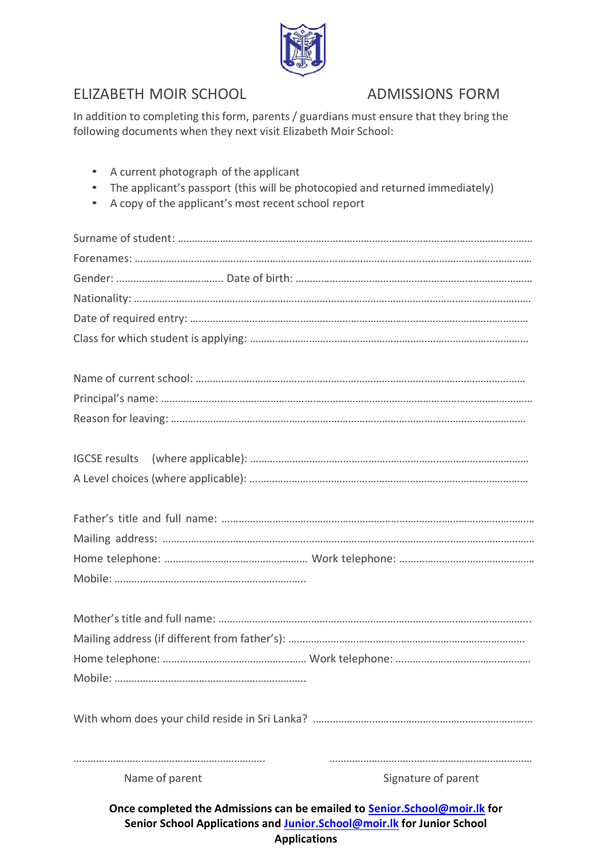

# ELIZABETH MOIR SCHOOL ADMISSIONS FORM

In addition to completing this form, parents / guardians must ensure that they bring the following documents when they next visit Elizabeth Moir School:

• A current photograph of the applicant • The applicant's passport (this will be photocopied and returned immediately) • A copy of the applicant's most recent school report Surname of student: ……………………………………………………………………………………………………………… Forenames: …………………………………………………………………………………………………………………………… Gender: ……………………………….. Date of birth: ………………………………………………………………………… Nationality: …………………………………………………………………………………………………………………………… Date of required entry: ………………………………………………………………………………………………………… Class for which student is applying: ……………………………………………………………………………………… Name of current school: ……………………………………………………………………………………………………… Principal's name: ……………………………………………………………………………………………………………………

With whom does your child reside in Sri Lanka? ……………………………………………………………………

………………………………………………………….. ………………………………………………………………

Name of parent Name of parent Signature of parent

**Once completed the Admissions can be emailed to [Senior.School@moir.lk](mailto:Senior.School@moir.lk) for Senior School Applications and [Junior.School@moir.lk](mailto:Junior.School@moir.lk) for Junior School Applications**